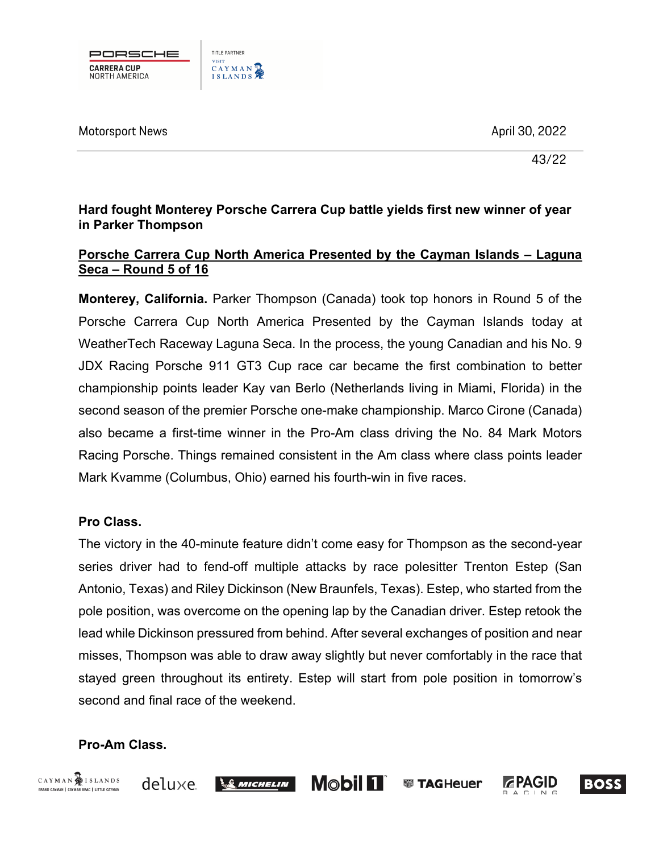

Motorsport News April 30, 2022 . A set of the set of the set of the set of the set of the set of the set of th

43/22

# **Hard fought Monterey Porsche Carrera Cup battle yields first new winner of year in Parker Thompson**

## **Porsche Carrera Cup North America Presented by the Cayman Islands – Laguna Seca – Round 5 of 16**

**Monterey, California.** Parker Thompson (Canada) took top honors in Round 5 of the Porsche Carrera Cup North America Presented by the Cayman Islands today at WeatherTech Raceway Laguna Seca. In the process, the young Canadian and his No. 9 JDX Racing Porsche 911 GT3 Cup race car became the first combination to better championship points leader Kay van Berlo (Netherlands living in Miami, Florida) in the second season of the premier Porsche one-make championship. Marco Cirone (Canada) also became a first-time winner in the Pro-Am class driving the No. 84 Mark Motors Racing Porsche. Things remained consistent in the Am class where class points leader Mark Kvamme (Columbus, Ohio) earned his fourth-win in five races.

# **Pro Class.**

The victory in the 40-minute feature didn't come easy for Thompson as the second-year series driver had to fend-off multiple attacks by race polesitter Trenton Estep (San Antonio, Texas) and Riley Dickinson (New Braunfels, Texas). Estep, who started from the pole position, was overcome on the opening lap by the Canadian driver. Estep retook the lead while Dickinson pressured from behind. After several exchanges of position and near misses, Thompson was able to draw away slightly but never comfortably in the race that stayed green throughout its entirety. Estep will start from pole position in tomorrow's second and final race of the weekend.

# **Pro-Am Class.**





 $\mathcal{L}$  michelin





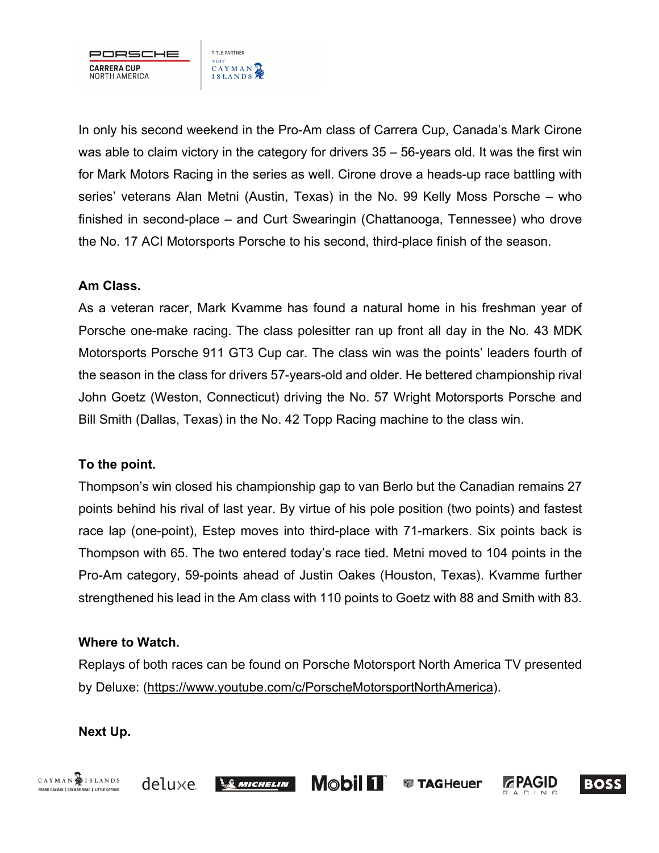

In only his second weekend in the Pro-Am class of Carrera Cup, Canada's Mark Cirone was able to claim victory in the category for drivers 35 – 56-years old. It was the first win for Mark Motors Racing in the series as well. Cirone drove a heads-up race battling with series' veterans Alan Metni (Austin, Texas) in the No. 99 Kelly Moss Porsche – who finished in second-place – and Curt Swearingin (Chattanooga, Tennessee) who drove the No. 17 ACI Motorsports Porsche to his second, third-place finish of the season.

## **Am Class.**

As a veteran racer, Mark Kvamme has found a natural home in his freshman year of Porsche one-make racing. The class polesitter ran up front all day in the No. 43 MDK Motorsports Porsche 911 GT3 Cup car. The class win was the points' leaders fourth of the season in the class for drivers 57-years-old and older. He bettered championship rival John Goetz (Weston, Connecticut) driving the No. 57 Wright Motorsports Porsche and Bill Smith (Dallas, Texas) in the No. 42 Topp Racing machine to the class win.

# **To the point.**

Thompson's win closed his championship gap to van Berlo but the Canadian remains 27 points behind his rival of last year. By virtue of his pole position (two points) and fastest race lap (one-point), Estep moves into third-place with 71-markers. Six points back is Thompson with 65. The two entered today's race tied. Metni moved to 104 points in the Pro-Am category, 59-points ahead of Justin Oakes (Houston, Texas). Kvamme further strengthened his lead in the Am class with 110 points to Goetz with 88 and Smith with 83.

## **Where to Watch.**

Replays of both races can be found on Porsche Motorsport North America TV presented by Deluxe: (https://www.youtube.com/c/PorscheMotorsportNorthAmerica).

# **Next Up.**









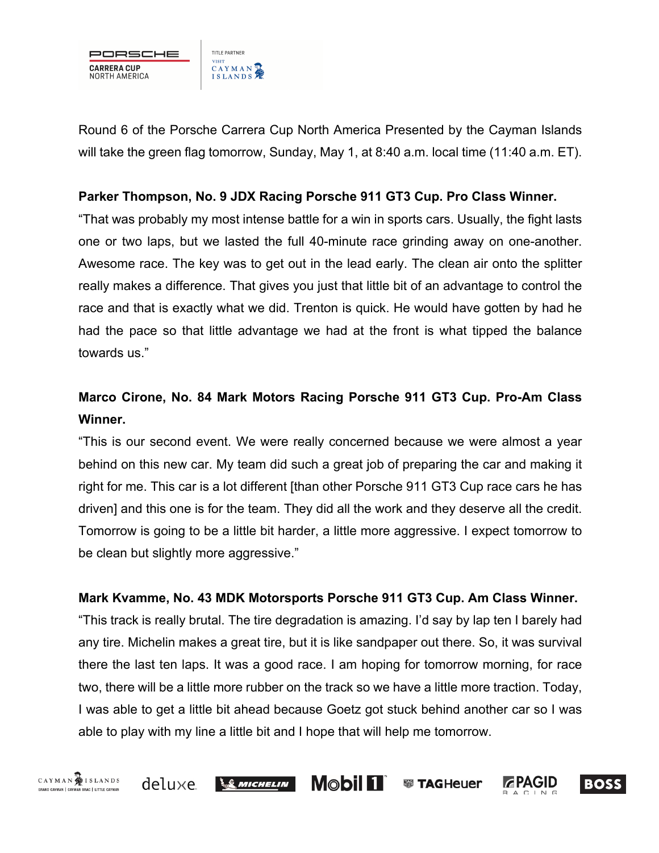

Round 6 of the Porsche Carrera Cup North America Presented by the Cayman Islands will take the green flag tomorrow, Sunday, May 1, at 8:40 a.m. local time (11:40 a.m. ET).

#### **Parker Thompson, No. 9 JDX Racing Porsche 911 GT3 Cup. Pro Class Winner.**

"That was probably my most intense battle for a win in sports cars. Usually, the fight lasts one or two laps, but we lasted the full 40-minute race grinding away on one-another. Awesome race. The key was to get out in the lead early. The clean air onto the splitter really makes a difference. That gives you just that little bit of an advantage to control the race and that is exactly what we did. Trenton is quick. He would have gotten by had he had the pace so that little advantage we had at the front is what tipped the balance towards us."

# **Marco Cirone, No. 84 Mark Motors Racing Porsche 911 GT3 Cup. Pro-Am Class Winner.**

"This is our second event. We were really concerned because we were almost a year behind on this new car. My team did such a great job of preparing the car and making it right for me. This car is a lot different [than other Porsche 911 GT3 Cup race cars he has driven] and this one is for the team. They did all the work and they deserve all the credit. Tomorrow is going to be a little bit harder, a little more aggressive. I expect tomorrow to be clean but slightly more aggressive."

## **Mark Kvamme, No. 43 MDK Motorsports Porsche 911 GT3 Cup. Am Class Winner.**

"This track is really brutal. The tire degradation is amazing. I'd say by lap ten I barely had any tire. Michelin makes a great tire, but it is like sandpaper out there. So, it was survival there the last ten laps. It was a good race. I am hoping for tomorrow morning, for race two, there will be a little more rubber on the track so we have a little more traction. Today, I was able to get a little bit ahead because Goetz got stuck behind another car so I was able to play with my line a little bit and I hope that will help me tomorrow.

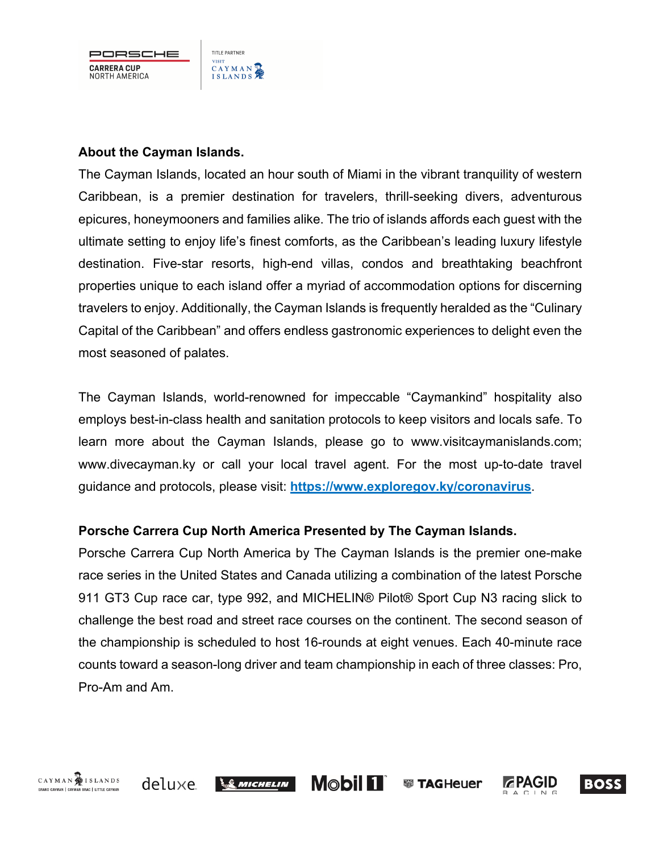PORSCHE **CARRERA CUP** NORTH AMERICA

#### **About the Cayman Islands.**

TITLE PARTNER

CAYMAN

**VISIT** 

The Cayman Islands, located an hour south of Miami in the vibrant tranquility of western Caribbean, is a premier destination for travelers, thrill-seeking divers, adventurous epicures, honeymooners and families alike. The trio of islands affords each guest with the ultimate setting to enjoy life's finest comforts, as the Caribbean's leading luxury lifestyle destination. Five-star resorts, high-end villas, condos and breathtaking beachfront properties unique to each island offer a myriad of accommodation options for discerning travelers to enjoy. Additionally, the Cayman Islands is frequently heralded as the "Culinary Capital of the Caribbean" and offers endless gastronomic experiences to delight even the most seasoned of palates.

The Cayman Islands, world-renowned for impeccable "Caymankind" hospitality also employs best-in-class health and sanitation protocols to keep visitors and locals safe. To learn more about the Cayman Islands, please go to www.visitcaymanislands.com; www.divecayman.ky or call your local travel agent. For the most up-to-date travel guidance and protocols, please visit: **https://www.exploregov.ky/coronavirus**.

## **Porsche Carrera Cup North America Presented by The Cayman Islands.**

Porsche Carrera Cup North America by The Cayman Islands is the premier one-make race series in the United States and Canada utilizing a combination of the latest Porsche 911 GT3 Cup race car, type 992, and MICHELIN® Pilot® Sport Cup N3 racing slick to challenge the best road and street race courses on the continent. The second season of the championship is scheduled to host 16-rounds at eight venues. Each 40-minute race counts toward a season-long driver and team championship in each of three classes: Pro, Pro-Am and Am.

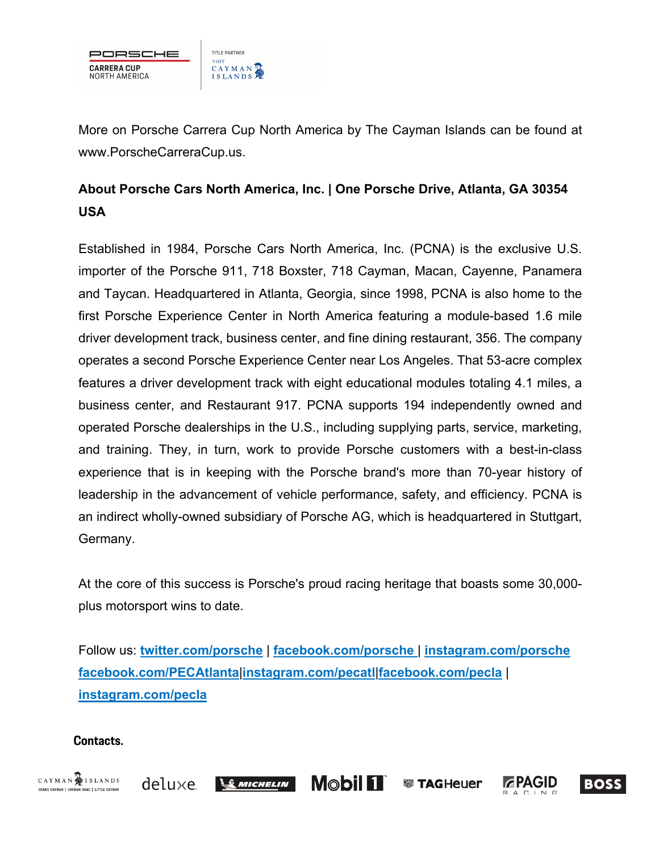

More on Porsche Carrera Cup North America by The Cayman Islands can be found at www.PorscheCarreraCup.us.

# **About Porsche Cars North America, Inc. | One Porsche Drive, Atlanta, GA 30354 USA**

Established in 1984, Porsche Cars North America, Inc. (PCNA) is the exclusive U.S. importer of the Porsche 911, 718 Boxster, 718 Cayman, Macan, Cayenne, Panamera and Taycan. Headquartered in Atlanta, Georgia, since 1998, PCNA is also home to the first Porsche Experience Center in North America featuring a module-based 1.6 mile driver development track, business center, and fine dining restaurant, 356. The company operates a second Porsche Experience Center near Los Angeles. That 53-acre complex features a driver development track with eight educational modules totaling 4.1 miles, a business center, and Restaurant 917. PCNA supports 194 independently owned and operated Porsche dealerships in the U.S., including supplying parts, service, marketing, and training. They, in turn, work to provide Porsche customers with a best-in-class experience that is in keeping with the Porsche brand's more than 70-year history of leadership in the advancement of vehicle performance, safety, and efficiency. PCNA is an indirect wholly-owned subsidiary of Porsche AG, which is headquartered in Stuttgart, Germany.

At the core of this success is Porsche's proud racing heritage that boasts some 30,000 plus motorsport wins to date.

Follow us: **twitter.com/porsche** | **facebook.com/porsche** | **instagram.com/porsche facebook.com/PECAtlanta**|**instagram.com/pecatl**|**facebook.com/pecla** | **instagram.com/pecla**

#### **Contacts.**







**● TAGHeuer**